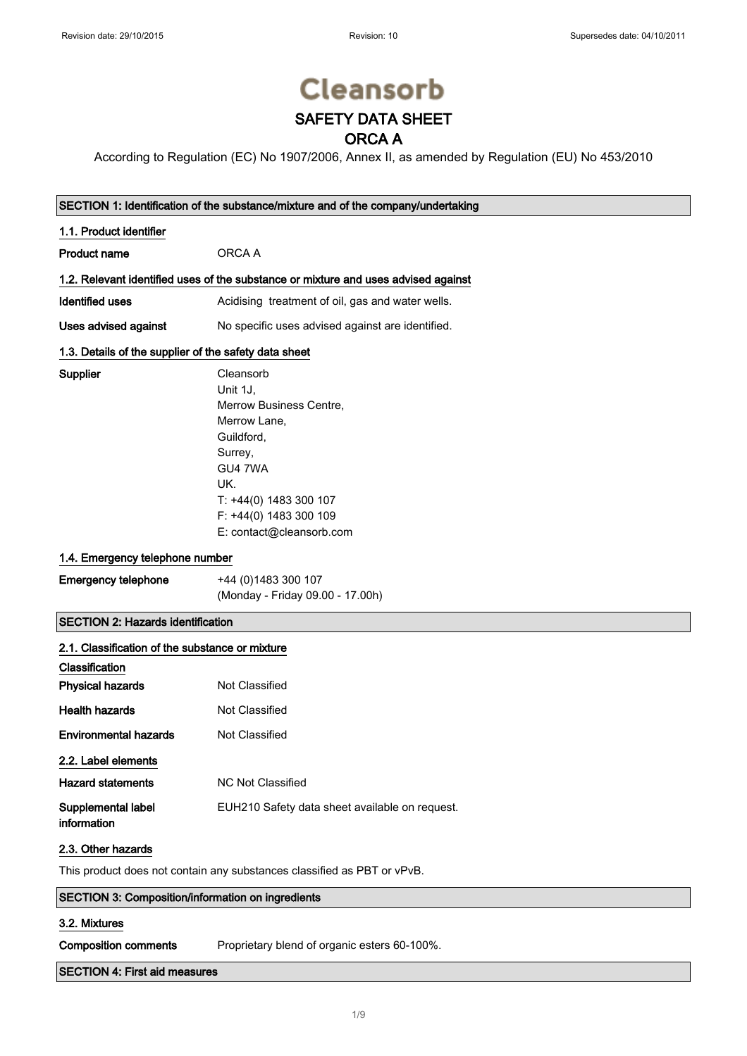# **Cleansorb** SAFETY DATA SHEET

## ORCA A

According to Regulation (EC) No 1907/2006, Annex II, as amended by Regulation (EU) No 453/2010

## SECTION 1: Identification of the substance/mixture and of the company/undertaking

## 1.1. Product identifier

Supplier

| <b>Product name</b> | ORCA A |
|---------------------|--------|
|                     |        |

## 1.2. Relevant identified uses of the substance or mixture and uses advised against

Identified uses **Acidising treatment of oil, gas and water wells.** 

Uses advised against No specific uses advised against are identified.

#### 1.3. Details of the supplier of the safety data sheet

| Cleansorb                |
|--------------------------|
| Unit 1J.                 |
| Merrow Business Centre,  |
| Merrow Lane,             |
| Guildford,               |
| Surrey,                  |
| GU4 7WA                  |
| UK.                      |
| T: +44(0) 1483 300 107   |
| F: +44(0) 1483 300 109   |
| E: contact@cleansorb.com |

## 1.4. Emergency telephone number

| <b>Emergency telephone</b> | +44 (0)1483 300 107              |
|----------------------------|----------------------------------|
|                            | (Monday - Friday 09.00 - 17.00h) |

## SECTION 2: Hazards identification

| 2.1. Classification of the substance or mixture |                                                |
|-------------------------------------------------|------------------------------------------------|
| Classification                                  |                                                |
| <b>Physical hazards</b>                         | Not Classified                                 |
| <b>Health hazards</b>                           | Not Classified                                 |
| <b>Environmental hazards</b>                    | Not Classified                                 |
| 2.2. Label elements                             |                                                |
| <b>Hazard statements</b>                        | NC Not Classified                              |
| Supplemental label<br>information               | EUH210 Safety data sheet available on request. |

## 2.3. Other hazards

This product does not contain any substances classified as PBT or vPvB.

# SECTION 3: Composition/information on ingredients

#### 3.2. Mixtures

Composition comments Proprietary blend of organic esters 60-100%.

## SECTION 4: First aid measures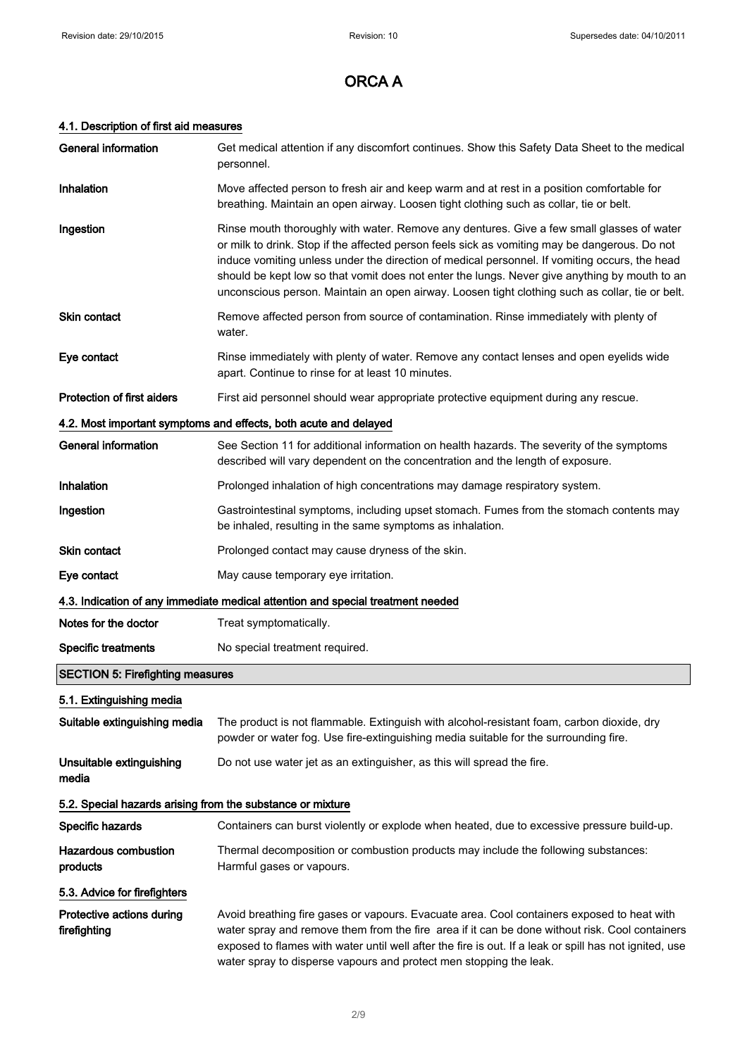## 4.1. Description of first aid measures

| <b>General information</b>                                       | Get medical attention if any discomfort continues. Show this Safety Data Sheet to the medical<br>personnel.                                                                                                                                                                                                                                                                                                                                                                                     |  |
|------------------------------------------------------------------|-------------------------------------------------------------------------------------------------------------------------------------------------------------------------------------------------------------------------------------------------------------------------------------------------------------------------------------------------------------------------------------------------------------------------------------------------------------------------------------------------|--|
| Inhalation                                                       | Move affected person to fresh air and keep warm and at rest in a position comfortable for<br>breathing. Maintain an open airway. Loosen tight clothing such as collar, tie or belt.                                                                                                                                                                                                                                                                                                             |  |
| Ingestion                                                        | Rinse mouth thoroughly with water. Remove any dentures. Give a few small glasses of water<br>or milk to drink. Stop if the affected person feels sick as vomiting may be dangerous. Do not<br>induce vomiting unless under the direction of medical personnel. If vomiting occurs, the head<br>should be kept low so that vomit does not enter the lungs. Never give anything by mouth to an<br>unconscious person. Maintain an open airway. Loosen tight clothing such as collar, tie or belt. |  |
| <b>Skin contact</b>                                              | Remove affected person from source of contamination. Rinse immediately with plenty of<br>water.                                                                                                                                                                                                                                                                                                                                                                                                 |  |
| Eye contact                                                      | Rinse immediately with plenty of water. Remove any contact lenses and open eyelids wide<br>apart. Continue to rinse for at least 10 minutes.                                                                                                                                                                                                                                                                                                                                                    |  |
| Protection of first aiders                                       | First aid personnel should wear appropriate protective equipment during any rescue.                                                                                                                                                                                                                                                                                                                                                                                                             |  |
| 4.2. Most important symptoms and effects, both acute and delayed |                                                                                                                                                                                                                                                                                                                                                                                                                                                                                                 |  |
| <b>General information</b>                                       | See Section 11 for additional information on health hazards. The severity of the symptoms<br>described will vary dependent on the concentration and the length of exposure.                                                                                                                                                                                                                                                                                                                     |  |
| Inhalation                                                       | Prolonged inhalation of high concentrations may damage respiratory system.                                                                                                                                                                                                                                                                                                                                                                                                                      |  |
| Ingestion                                                        | Gastrointestinal symptoms, including upset stomach. Fumes from the stomach contents may<br>be inhaled, resulting in the same symptoms as inhalation.                                                                                                                                                                                                                                                                                                                                            |  |
| Skin contact                                                     | Prolonged contact may cause dryness of the skin.                                                                                                                                                                                                                                                                                                                                                                                                                                                |  |
| Eye contact                                                      | May cause temporary eye irritation.                                                                                                                                                                                                                                                                                                                                                                                                                                                             |  |
|                                                                  | 4.3. Indication of any immediate medical attention and special treatment needed                                                                                                                                                                                                                                                                                                                                                                                                                 |  |
| Notes for the doctor                                             | Treat symptomatically.                                                                                                                                                                                                                                                                                                                                                                                                                                                                          |  |
| <b>Specific treatments</b>                                       | No special treatment required.                                                                                                                                                                                                                                                                                                                                                                                                                                                                  |  |
| <b>SECTION 5: Firefighting measures</b>                          |                                                                                                                                                                                                                                                                                                                                                                                                                                                                                                 |  |
| 5.1. Extinguishing media                                         |                                                                                                                                                                                                                                                                                                                                                                                                                                                                                                 |  |
| Suitable extinguishing media                                     | The product is not flammable. Extinguish with alcohol-resistant foam, carbon dioxide, dry<br>powder or water fog. Use fire-extinguishing media suitable for the surrounding fire.                                                                                                                                                                                                                                                                                                               |  |
| Unsuitable extinguishing<br>media                                | Do not use water jet as an extinguisher, as this will spread the fire.                                                                                                                                                                                                                                                                                                                                                                                                                          |  |
| 5.2. Special hazards arising from the substance or mixture       |                                                                                                                                                                                                                                                                                                                                                                                                                                                                                                 |  |
| Specific hazards                                                 | Containers can burst violently or explode when heated, due to excessive pressure build-up.                                                                                                                                                                                                                                                                                                                                                                                                      |  |
| <b>Hazardous combustion</b><br>products                          | Thermal decomposition or combustion products may include the following substances:<br>Harmful gases or vapours.                                                                                                                                                                                                                                                                                                                                                                                 |  |
| 5.3. Advice for firefighters                                     |                                                                                                                                                                                                                                                                                                                                                                                                                                                                                                 |  |
| Protective actions during<br>firefighting                        | Avoid breathing fire gases or vapours. Evacuate area. Cool containers exposed to heat with<br>water spray and remove them from the fire area if it can be done without risk. Cool containers<br>exposed to flames with water until well after the fire is out. If a leak or spill has not ignited, use                                                                                                                                                                                          |  |

water spray to disperse vapours and protect men stopping the leak.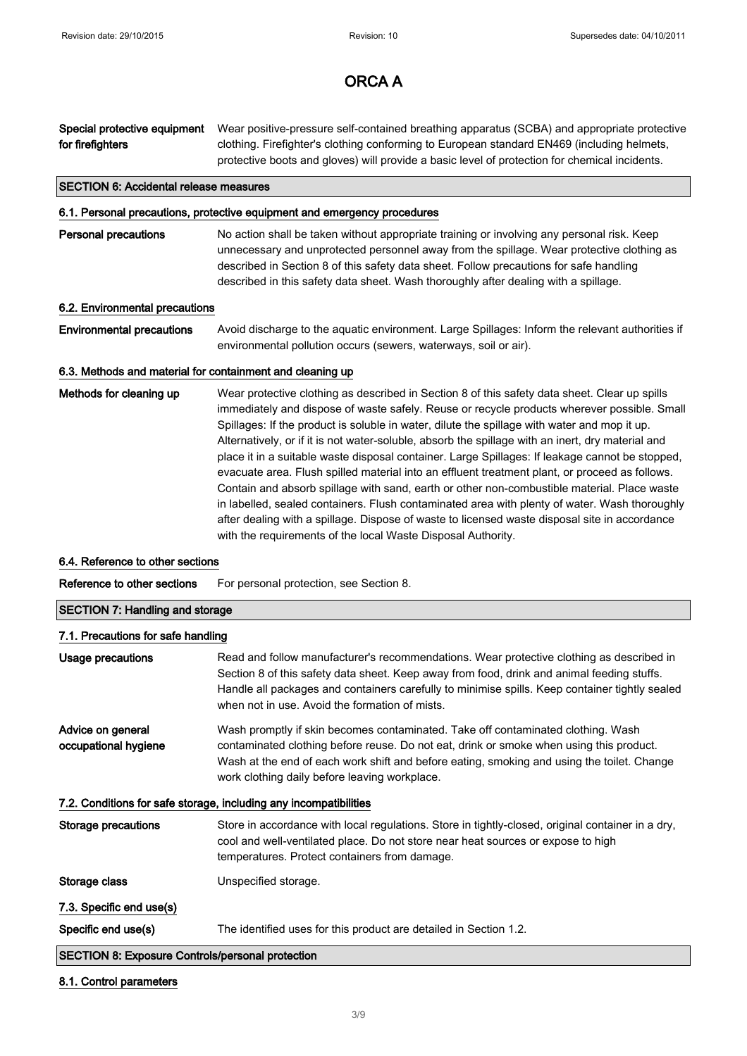Special protective equipment for firefighters Wear positive-pressure self-contained breathing apparatus (SCBA) and appropriate protective clothing. Firefighter's clothing conforming to European standard EN469 (including helmets, protective boots and gloves) will provide a basic level of protection for chemical incidents.

#### SECTION 6: Accidental release measures

#### 6.1. Personal precautions, protective equipment and emergency procedures

**Personal precautions** No action shall be taken without appropriate training or involving any personal risk. Keep unnecessary and unprotected personnel away from the spillage. Wear protective clothing as described in Section 8 of this safety data sheet. Follow precautions for safe handling described in this safety data sheet. Wash thoroughly after dealing with a spillage.

#### 6.2. Environmental precautions

Environmental precautions Avoid discharge to the aquatic environment. Large Spillages: Inform the relevant authorities if environmental pollution occurs (sewers, waterways, soil or air).

#### 6.3. Methods and material for containment and cleaning up

Methods for cleaning up Wear protective clothing as described in Section 8 of this safety data sheet. Clear up spills immediately and dispose of waste safely. Reuse or recycle products wherever possible. Small Spillages: If the product is soluble in water, dilute the spillage with water and mop it up. Alternatively, or if it is not water-soluble, absorb the spillage with an inert, dry material and place it in a suitable waste disposal container. Large Spillages: If leakage cannot be stopped, evacuate area. Flush spilled material into an effluent treatment plant, or proceed as follows. Contain and absorb spillage with sand, earth or other non-combustible material. Place waste in labelled, sealed containers. Flush contaminated area with plenty of water. Wash thoroughly after dealing with a spillage. Dispose of waste to licensed waste disposal site in accordance with the requirements of the local Waste Disposal Authority.

#### 6.4. Reference to other sections

Reference to other sections For personal protection, see Section 8.

## SECTION 7: Handling and storage

#### 7.1. Precautions for safe handling

| Usage precautions                                       | Read and follow manufacturer's recommendations. Wear protective clothing as described in<br>Section 8 of this safety data sheet. Keep away from food, drink and animal feeding stuffs.<br>Handle all packages and containers carefully to minimise spills. Keep container tightly sealed<br>when not in use. Avoid the formation of mists. |
|---------------------------------------------------------|--------------------------------------------------------------------------------------------------------------------------------------------------------------------------------------------------------------------------------------------------------------------------------------------------------------------------------------------|
| Advice on general<br>occupational hygiene               | Wash promptly if skin becomes contaminated. Take off contaminated clothing. Wash<br>contaminated clothing before reuse. Do not eat, drink or smoke when using this product.<br>Wash at the end of each work shift and before eating, smoking and using the toilet. Change<br>work clothing daily before leaving workplace.                 |
|                                                         | 7.2. Conditions for safe storage, including any incompatibilities                                                                                                                                                                                                                                                                          |
| Storage precautions                                     | Store in accordance with local regulations. Store in tightly-closed, original container in a dry,<br>cool and well-ventilated place. Do not store near heat sources or expose to high<br>temperatures. Protect containers from damage.                                                                                                     |
| Storage class                                           | Unspecified storage.                                                                                                                                                                                                                                                                                                                       |
| 7.3. Specific end use(s)                                |                                                                                                                                                                                                                                                                                                                                            |
| Specific end use(s)                                     | The identified uses for this product are detailed in Section 1.2.                                                                                                                                                                                                                                                                          |
| <b>SECTION 8: Exposure Controls/personal protection</b> |                                                                                                                                                                                                                                                                                                                                            |

#### 8.1. Control parameters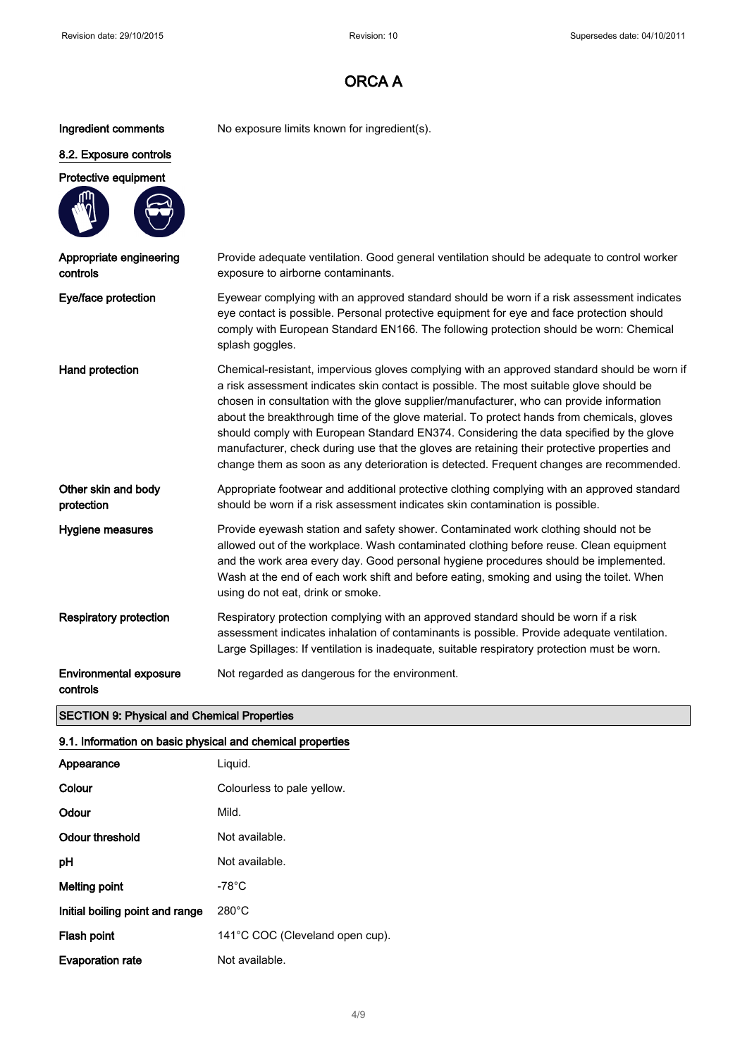Ingredient comments No exposure limits known for ingredient(s).

## 8.2. Exposure controls

## Protective equipment



| Appropriate engineering<br>controls | Provide adequate ventilation. Good general ventilation should be adequate to control worker<br>exposure to airborne contaminants.                                                                                                                                                                                                                                                                                                                                                                                                                                                                                                                                      |
|-------------------------------------|------------------------------------------------------------------------------------------------------------------------------------------------------------------------------------------------------------------------------------------------------------------------------------------------------------------------------------------------------------------------------------------------------------------------------------------------------------------------------------------------------------------------------------------------------------------------------------------------------------------------------------------------------------------------|
| Eye/face protection                 | Eyewear complying with an approved standard should be worn if a risk assessment indicates<br>eye contact is possible. Personal protective equipment for eye and face protection should<br>comply with European Standard EN166. The following protection should be worn: Chemical<br>splash goggles.                                                                                                                                                                                                                                                                                                                                                                    |
| Hand protection                     | Chemical-resistant, impervious gloves complying with an approved standard should be worn if<br>a risk assessment indicates skin contact is possible. The most suitable glove should be<br>chosen in consultation with the glove supplier/manufacturer, who can provide information<br>about the breakthrough time of the glove material. To protect hands from chemicals, gloves<br>should comply with European Standard EN374. Considering the data specified by the glove<br>manufacturer, check during use that the gloves are retaining their protective properties and<br>change them as soon as any deterioration is detected. Frequent changes are recommended. |
| Other skin and hody                 | Appropriate footweer and additional protective clothing complying with an approved standard                                                                                                                                                                                                                                                                                                                                                                                                                                                                                                                                                                            |

Other skin and body protection opriate footwear and additional protective clothing complying with an approved standard should be worn if a risk assessment indicates skin contamination is possible.

Hygiene measures Provide eyewash station and safety shower. Contaminated work clothing should not be allowed out of the workplace. Wash contaminated clothing before reuse. Clean equipment and the work area every day. Good personal hygiene procedures should be implemented. Wash at the end of each work shift and before eating, smoking and using the toilet. When using do not eat, drink or smoke.

Respiratory protection Respiratory protection complying with an approved standard should be worn if a risk assessment indicates inhalation of contaminants is possible. Provide adequate ventilation. Large Spillages: If ventilation is inadequate, suitable respiratory protection must be worn.

Environmental exposure Not regarded as dangerous for the environment.

controls

## SECTION 9: Physical and Chemical Properties

## 9.1. Information on basic physical and chemical properties

| Appearance                      | Liguid.                         |
|---------------------------------|---------------------------------|
| Colour                          | Colourless to pale yellow.      |
| Odour                           | Mild.                           |
| Odour threshold                 | Not available.                  |
| рH                              | Not available.                  |
| Melting point                   | -78°C                           |
| Initial boiling point and range | $280^{\circ}$ C                 |
| Flash point                     | 141°C COC (Cleveland open cup). |
| <b>Evaporation rate</b>         | Not available.                  |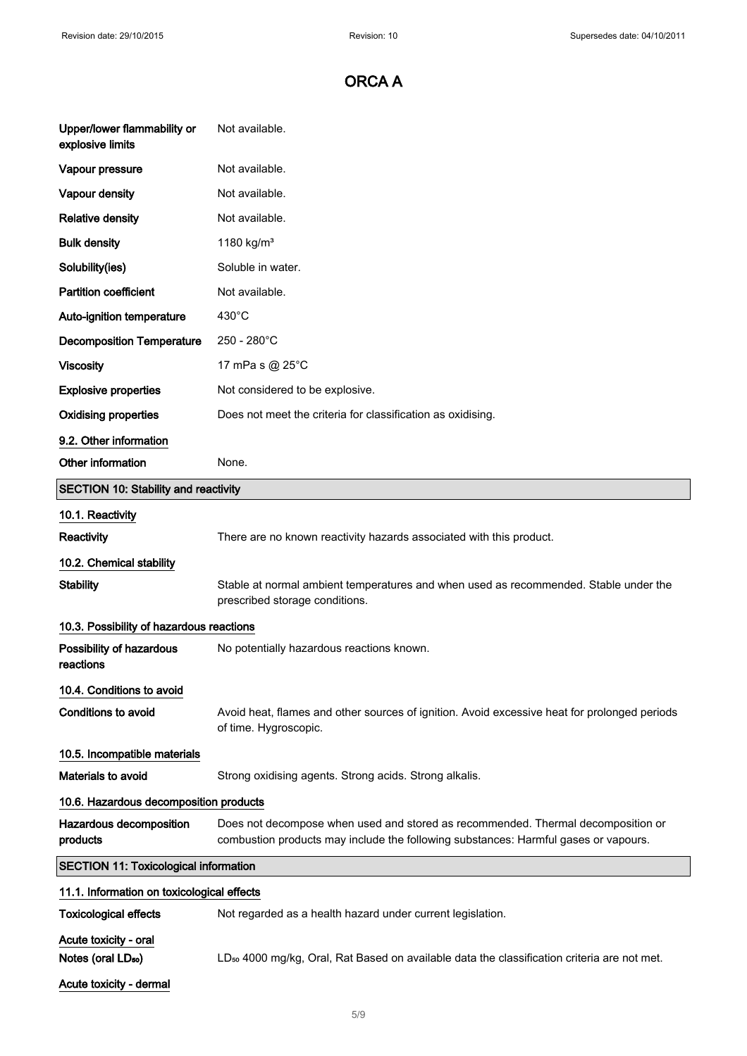| Upper/lower flammability or<br>explosive limits         | Not available.                                                                                                                                                          |
|---------------------------------------------------------|-------------------------------------------------------------------------------------------------------------------------------------------------------------------------|
| Vapour pressure                                         | Not available.                                                                                                                                                          |
| <b>Vapour density</b>                                   | Not available.                                                                                                                                                          |
| <b>Relative density</b>                                 | Not available.                                                                                                                                                          |
| <b>Bulk density</b>                                     | 1180 kg/m <sup>3</sup>                                                                                                                                                  |
| Solubility(ies)                                         | Soluble in water.                                                                                                                                                       |
| <b>Partition coefficient</b>                            | Not available.                                                                                                                                                          |
| Auto-ignition temperature                               | $430^{\circ}$ C                                                                                                                                                         |
| <b>Decomposition Temperature</b>                        | 250 - 280°C                                                                                                                                                             |
| <b>Viscosity</b>                                        | 17 mPa s @ 25°C                                                                                                                                                         |
| <b>Explosive properties</b>                             | Not considered to be explosive.                                                                                                                                         |
| <b>Oxidising properties</b>                             | Does not meet the criteria for classification as oxidising.                                                                                                             |
| 9.2. Other information                                  |                                                                                                                                                                         |
| Other information                                       | None.                                                                                                                                                                   |
| <b>SECTION 10: Stability and reactivity</b>             |                                                                                                                                                                         |
| 10.1. Reactivity                                        |                                                                                                                                                                         |
| Reactivity                                              | There are no known reactivity hazards associated with this product.                                                                                                     |
| 10.2. Chemical stability                                |                                                                                                                                                                         |
| <b>Stability</b>                                        | Stable at normal ambient temperatures and when used as recommended. Stable under the<br>prescribed storage conditions.                                                  |
| 10.3. Possibility of hazardous reactions                |                                                                                                                                                                         |
| Possibility of hazardous<br>reactions                   | No potentially hazardous reactions known.                                                                                                                               |
| 10.4. Conditions to avoid                               |                                                                                                                                                                         |
| <b>Conditions to avoid</b>                              | Avoid heat, flames and other sources of ignition. Avoid excessive heat for prolonged periods<br>of time. Hygroscopic.                                                   |
| 10.5. Incompatible materials                            |                                                                                                                                                                         |
| Materials to avoid                                      | Strong oxidising agents. Strong acids. Strong alkalis.                                                                                                                  |
| 10.6. Hazardous decomposition products                  |                                                                                                                                                                         |
| Hazardous decomposition<br>products                     | Does not decompose when used and stored as recommended. Thermal decomposition or<br>combustion products may include the following substances: Harmful gases or vapours. |
| <b>SECTION 11: Toxicological information</b>            |                                                                                                                                                                         |
| 11.1. Information on toxicological effects              |                                                                                                                                                                         |
| <b>Toxicological effects</b>                            | Not regarded as a health hazard under current legislation.                                                                                                              |
| Acute toxicity - oral<br>Notes (oral LD <sub>50</sub> ) | LD <sub>50</sub> 4000 mg/kg, Oral, Rat Based on available data the classification criteria are not met.                                                                 |
| Acute toxicity - dermal                                 |                                                                                                                                                                         |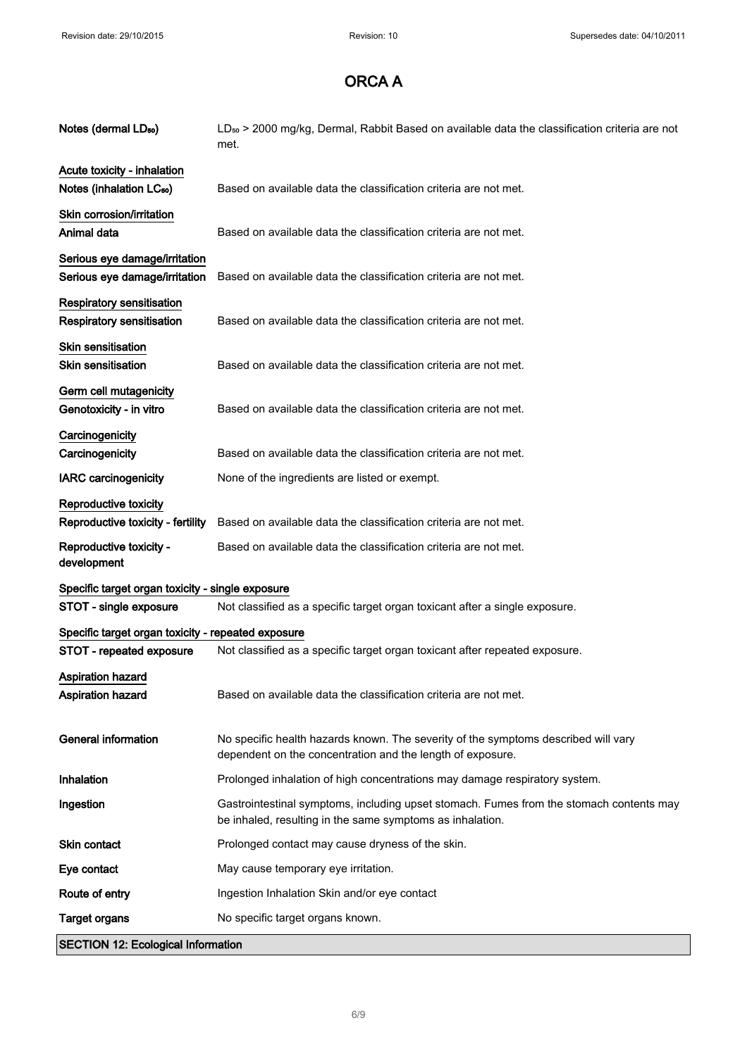| Notes (dermal LD <sub>50</sub> )                       | LD <sub>50</sub> > 2000 mg/kg, Dermal, Rabbit Based on available data the classification criteria are not<br>met.                                    |
|--------------------------------------------------------|------------------------------------------------------------------------------------------------------------------------------------------------------|
| Acute toxicity - inhalation                            |                                                                                                                                                      |
| Notes (inhalation LC <sub>50</sub> )                   | Based on available data the classification criteria are not met.                                                                                     |
| Skin corrosion/irritation                              |                                                                                                                                                      |
| Animal data                                            | Based on available data the classification criteria are not met.                                                                                     |
| Serious eye damage/irritation                          |                                                                                                                                                      |
| Serious eye damage/irritation                          | Based on available data the classification criteria are not met.                                                                                     |
| Respiratory sensitisation<br>Respiratory sensitisation | Based on available data the classification criteria are not met.                                                                                     |
| <b>Skin sensitisation</b>                              |                                                                                                                                                      |
| <b>Skin sensitisation</b>                              | Based on available data the classification criteria are not met.                                                                                     |
| Germ cell mutagenicity                                 |                                                                                                                                                      |
| Genotoxicity - in vitro                                | Based on available data the classification criteria are not met.                                                                                     |
| Carcinogenicity                                        |                                                                                                                                                      |
| Carcinogenicity                                        | Based on available data the classification criteria are not met.                                                                                     |
| <b>IARC carcinogenicity</b>                            | None of the ingredients are listed or exempt.                                                                                                        |
| Reproductive toxicity                                  |                                                                                                                                                      |
| Reproductive toxicity - fertility                      | Based on available data the classification criteria are not met.                                                                                     |
| Reproductive toxicity -<br>development                 | Based on available data the classification criteria are not met.                                                                                     |
| Specific target organ toxicity - single exposure       |                                                                                                                                                      |
| STOT - single exposure                                 | Not classified as a specific target organ toxicant after a single exposure.                                                                          |
| Specific target organ toxicity - repeated exposure     |                                                                                                                                                      |
| STOT - repeated exposure                               | Not classified as a specific target organ toxicant after repeated exposure.                                                                          |
| <b>Aspiration hazard</b><br><b>Aspiration hazard</b>   | Based on available data the classification criteria are not met.                                                                                     |
| <b>General information</b>                             | No specific health hazards known. The severity of the symptoms described will vary<br>dependent on the concentration and the length of exposure.     |
| Inhalation                                             | Prolonged inhalation of high concentrations may damage respiratory system.                                                                           |
| Ingestion                                              | Gastrointestinal symptoms, including upset stomach. Fumes from the stomach contents may<br>be inhaled, resulting in the same symptoms as inhalation. |
| <b>Skin contact</b>                                    | Prolonged contact may cause dryness of the skin.                                                                                                     |
| Eye contact                                            | May cause temporary eye irritation.                                                                                                                  |
| Route of entry                                         | Ingestion Inhalation Skin and/or eye contact                                                                                                         |
| <b>Target organs</b>                                   | No specific target organs known.                                                                                                                     |
| <b>SECTION 12: Ecological Information</b>              |                                                                                                                                                      |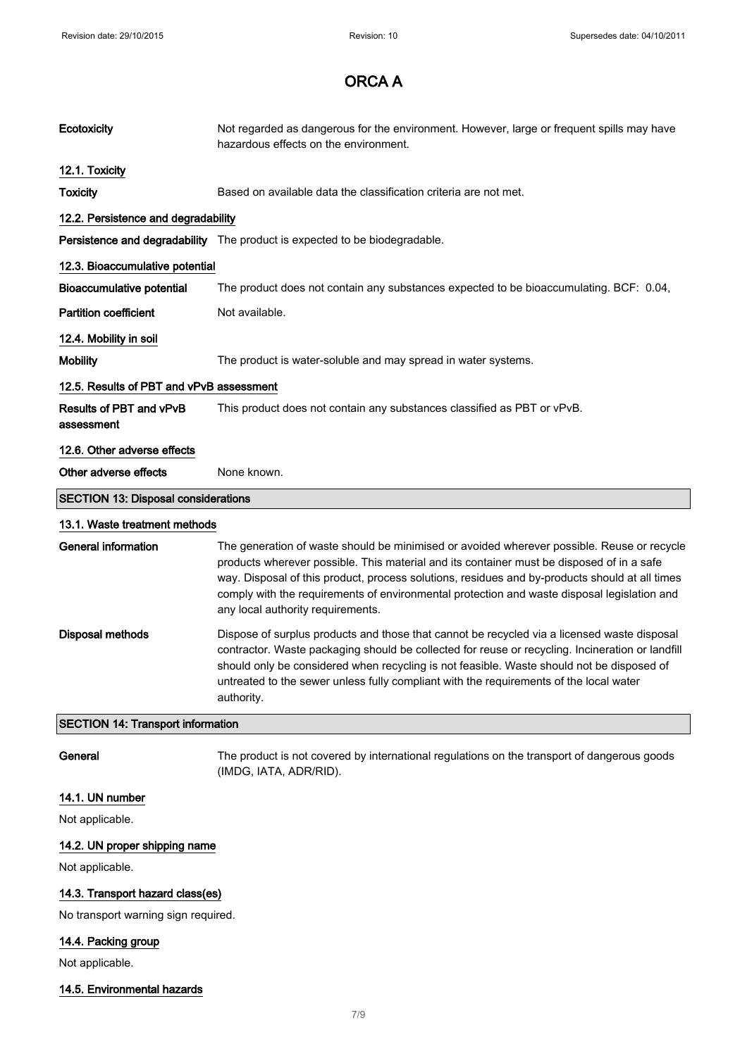| Ecotoxicity                                | Not regarded as dangerous for the environment. However, large or frequent spills may have<br>hazardous effects on the environment.                                                                                                                                                                                                                                                                                            |  |
|--------------------------------------------|-------------------------------------------------------------------------------------------------------------------------------------------------------------------------------------------------------------------------------------------------------------------------------------------------------------------------------------------------------------------------------------------------------------------------------|--|
| 12.1. Toxicity                             |                                                                                                                                                                                                                                                                                                                                                                                                                               |  |
| <b>Toxicity</b>                            | Based on available data the classification criteria are not met.                                                                                                                                                                                                                                                                                                                                                              |  |
| 12.2. Persistence and degradability        |                                                                                                                                                                                                                                                                                                                                                                                                                               |  |
|                                            | Persistence and degradability The product is expected to be biodegradable.                                                                                                                                                                                                                                                                                                                                                    |  |
| 12.3. Bioaccumulative potential            |                                                                                                                                                                                                                                                                                                                                                                                                                               |  |
| <b>Bioaccumulative potential</b>           | The product does not contain any substances expected to be bioaccumulating. BCF: 0.04,                                                                                                                                                                                                                                                                                                                                        |  |
| <b>Partition coefficient</b>               | Not available.                                                                                                                                                                                                                                                                                                                                                                                                                |  |
| 12.4. Mobility in soil                     |                                                                                                                                                                                                                                                                                                                                                                                                                               |  |
| <b>Mobility</b>                            | The product is water-soluble and may spread in water systems.                                                                                                                                                                                                                                                                                                                                                                 |  |
| 12.5. Results of PBT and vPvB assessment   |                                                                                                                                                                                                                                                                                                                                                                                                                               |  |
| Results of PBT and vPvB<br>assessment      | This product does not contain any substances classified as PBT or vPvB.                                                                                                                                                                                                                                                                                                                                                       |  |
| 12.6. Other adverse effects                |                                                                                                                                                                                                                                                                                                                                                                                                                               |  |
| Other adverse effects                      | None known.                                                                                                                                                                                                                                                                                                                                                                                                                   |  |
| <b>SECTION 13: Disposal considerations</b> |                                                                                                                                                                                                                                                                                                                                                                                                                               |  |
| 13.1. Waste treatment methods              |                                                                                                                                                                                                                                                                                                                                                                                                                               |  |
| <b>General information</b>                 | The generation of waste should be minimised or avoided wherever possible. Reuse or recycle<br>products wherever possible. This material and its container must be disposed of in a safe<br>way. Disposal of this product, process solutions, residues and by-products should at all times<br>comply with the requirements of environmental protection and waste disposal legislation and<br>any local authority requirements. |  |
| <b>Disposal methods</b>                    | Dispose of surplus products and those that cannot be recycled via a licensed waste disposal<br>contractor. Waste packaging should be collected for reuse or recycling. Incineration or landfill<br>should only be considered when recycling is not feasible. Waste should not be disposed of<br>untreated to the sewer unless fully compliant with the requirements of the local water<br>authority.                          |  |
| <b>SECTION 14: Transport information</b>   |                                                                                                                                                                                                                                                                                                                                                                                                                               |  |
| General                                    | The product is not covered by international regulations on the transport of dangerous goods<br>(IMDG, IATA, ADR/RID).                                                                                                                                                                                                                                                                                                         |  |
| 14.1. UN number                            |                                                                                                                                                                                                                                                                                                                                                                                                                               |  |
| Not applicable.                            |                                                                                                                                                                                                                                                                                                                                                                                                                               |  |
| 14.2. UN proper shipping name              |                                                                                                                                                                                                                                                                                                                                                                                                                               |  |
|                                            |                                                                                                                                                                                                                                                                                                                                                                                                                               |  |

14.3. Transport hazard class(es)

No transport warning sign required.

## 14.4. Packing group

Not applicable.

## 14.5. Environmental hazards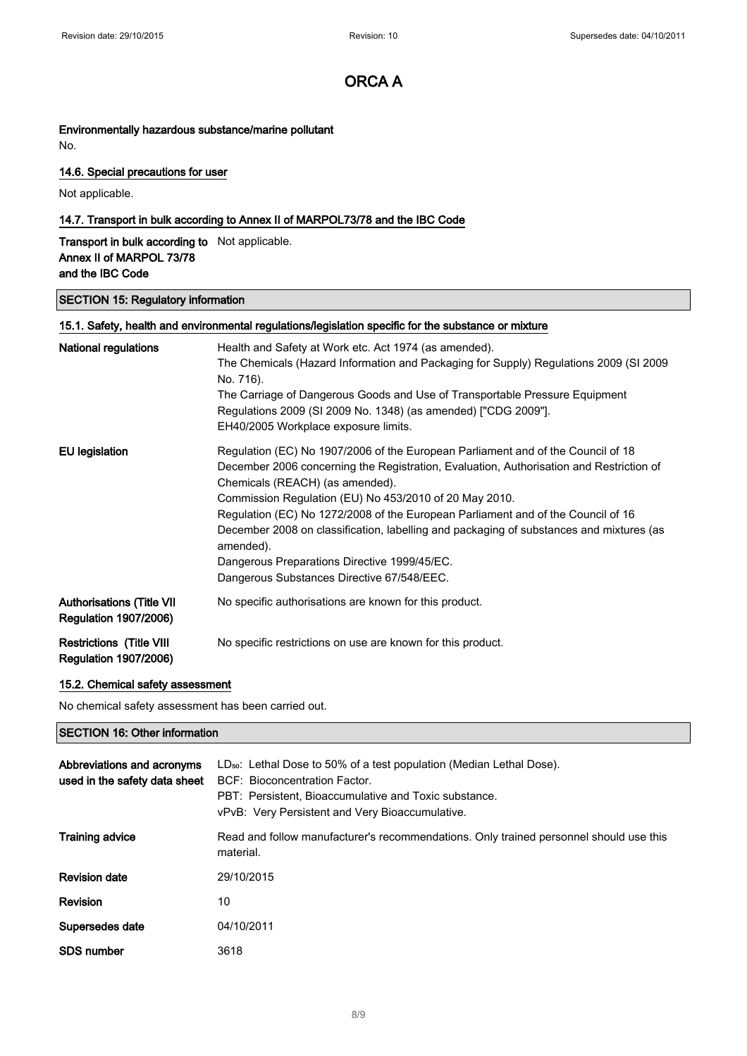## Environmentally hazardous substance/marine pollutant

No.

## 14.6. Special precautions for user

Not applicable.

## 14.7. Transport in bulk according to Annex II of MARPOL73/78 and the IBC Code

Transport in bulk according to Not applicable. Annex II of MARPOL 73/78 and the IBC Code

## SECTION 15: Regulatory information

| 15.1. Safety, health and environmental regulations/legislation specific for the substance or mixture |                                                                                                                                                                                                                                                                                                                                                                                                                                                                                                                                                                    |  |
|------------------------------------------------------------------------------------------------------|--------------------------------------------------------------------------------------------------------------------------------------------------------------------------------------------------------------------------------------------------------------------------------------------------------------------------------------------------------------------------------------------------------------------------------------------------------------------------------------------------------------------------------------------------------------------|--|
| <b>National regulations</b>                                                                          | Health and Safety at Work etc. Act 1974 (as amended).<br>The Chemicals (Hazard Information and Packaging for Supply) Regulations 2009 (SI 2009<br>No. 716).<br>The Carriage of Dangerous Goods and Use of Transportable Pressure Equipment<br>Regulations 2009 (SI 2009 No. 1348) (as amended) ["CDG 2009"].<br>EH40/2005 Workplace exposure limits.                                                                                                                                                                                                               |  |
| EU legislation                                                                                       | Regulation (EC) No 1907/2006 of the European Parliament and of the Council of 18<br>December 2006 concerning the Registration, Evaluation, Authorisation and Restriction of<br>Chemicals (REACH) (as amended).<br>Commission Regulation (EU) No 453/2010 of 20 May 2010.<br>Regulation (EC) No 1272/2008 of the European Parliament and of the Council of 16<br>December 2008 on classification, labelling and packaging of substances and mixtures (as<br>amended).<br>Dangerous Preparations Directive 1999/45/EC.<br>Dangerous Substances Directive 67/548/EEC. |  |
| <b>Authorisations (Title VII</b><br><b>Regulation 1907/2006)</b>                                     | No specific authorisations are known for this product.                                                                                                                                                                                                                                                                                                                                                                                                                                                                                                             |  |
| <b>Restrictions (Title VIII</b><br><b>Regulation 1907/2006)</b>                                      | No specific restrictions on use are known for this product.                                                                                                                                                                                                                                                                                                                                                                                                                                                                                                        |  |

## 15.2. Chemical safety assessment

No chemical safety assessment has been carried out.

## SECTION 16: Other information

| Abbreviations and acronyms<br>used in the safety data sheet | LD <sub>so</sub> : Lethal Dose to 50% of a test population (Median Lethal Dose).<br>BCF: Bioconcentration Factor.<br>PBT: Persistent. Bioaccumulative and Toxic substance.<br>vPvB: Very Persistent and Very Bioaccumulative. |
|-------------------------------------------------------------|-------------------------------------------------------------------------------------------------------------------------------------------------------------------------------------------------------------------------------|
| <b>Training advice</b>                                      | Read and follow manufacturer's recommendations. Only trained personnel should use this<br>material.                                                                                                                           |
| <b>Revision date</b>                                        | 29/10/2015                                                                                                                                                                                                                    |
| <b>Revision</b>                                             | 10                                                                                                                                                                                                                            |
| Supersedes date                                             | 04/10/2011                                                                                                                                                                                                                    |
| <b>SDS number</b>                                           | 3618                                                                                                                                                                                                                          |